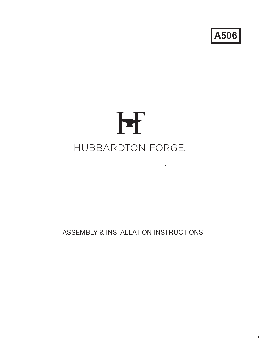**A506**

1

# H HUBBARDTON FORGE.

 $\overline{\phantom{a}}$  TM

ASSEMBLY & INSTALLATION INSTRUCTIONS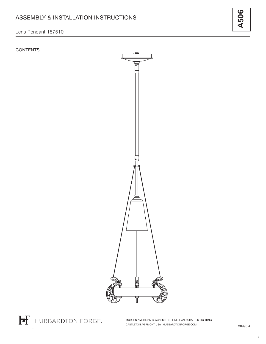# **CONTENTS**



MODERN AMERICAN BLACKSMITHS | FINE, HAND CRAFTED LIGHTING CASTLETON, VERMONT USA | HUBBARDTONFORGE.COM 38990 A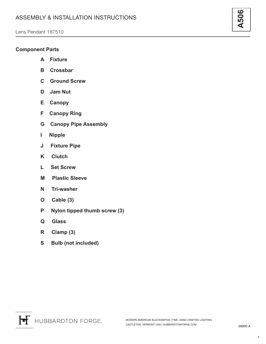# **Component Parts**

- **A Fixture**
- **B Crossbar**
- **C Ground Screw**
- **D Jam Nut**
- **E Canopy**
- **F Canopy Ring**
- **G Canopy Pipe Assembly**
- **I Nipple**
- **J Fixture Pipe**
- **K Clutch**
- **L Set Screw**
- **M Plastic Sleeve**
- **N Tri-washer**
- **O Cable (3)**
- **P Nylon tipped thumb screw (3)**
- **Q Glass**
- **R Clamp (3)**
- **S Bulb (not included)**

3

**A506**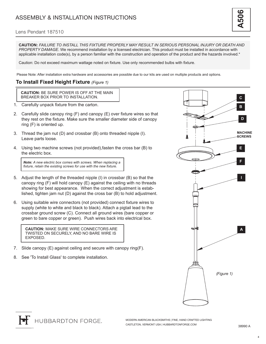**CAUTION:** *FAILURE TO INSTALL THIS FIXTURE PROPERLY MAY RESULT IN SERIOUS PERSONAL INJURY OR DEATH AND PROPERTY DAMAGE.* We recommend installation by a licensed electrician. This product must be installed in accordance with applicable installation code(s), by a person familiar with the construction and operation of the product and the hazards involved.\*

Caution: Do not exceed maximum wattage noted on fixture. Use only recommended bulbs with fixture.

Please Note: After installation extra hardware and accessories are possible due to our kits are used on multiple products and options.

# **To Install Fixed Height Fixture** *(Figure 1)*

**CAUTION:** BE SURE POWER IS OFF AT THE MAIN BREAKER BOX PRIOR TO INSTALLATION.

- 1. Carefully unpack fixture from the carton.
- 2. Carefully slide canopy ring (F) and canopy (E) over fixture wires so that they rest on the fixture. Make sure the smaller diameter side of canopy ring (F) is oriented up.
- 3. Thread the jam nut (D) and crossbar (B) onto threaded nipple (I). Leave parts loose.
- 4. Using two machine screws (not provided),fasten the cross bar (B) to the electric box.

*Note: A new electric box comes with screws. When replacing a fixture, retain the existing screws for use with the new fixture.*

- 5. Adjust the length of the threaded nipple (I) in crossbar (B) so that the canopy ring (F) will hold canopy (E) against the ceiling with no threads showing for best appearance. When the correct adjustment is established, tighten jam nut (D) against the cross bar (B) to hold adjustment.
- 6. Using suitable wire connectors (not provided) connect fixture wires to supply (white to white and black to black). Attach a pigtail lead to the crossbar ground screw (C). Connect all ground wires (bare copper or green to bare copper or green). Push wires back into electrical box.

**CAUTION:** MAKE SURE WIRE CONNECTORS ARE **A** TWISTED ON SECURELY, AND NO BARE WIRE IS EXPOSED.

- 7. Slide canopy (E) against ceiling and secure with canopy ring(F).
- 8. See 'To Install Glass' to complete installation.



**A506**

**HUBBARDTON FORGE.** 

4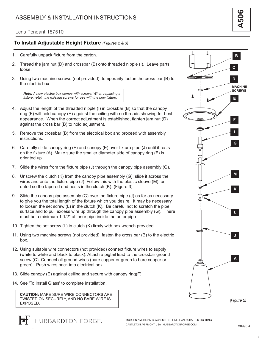#### Lens Pendant 187510

# **To Install Adjustable Height Fixture** *(Figures 2 & 3)*

- 1. Carefully unpack fixture from the carton.
- 2. Thread the jam nut (D) and crossbar (B) onto threaded nipple (I). Leave parts loose.
- 3. Using two machine screws (not provided), temporarily fasten the cross bar (B) to the electric box.

*Note: A new electric box comes with screws. When replacing a fixture, retain the existing screws for use with the new fixture.*

- 4. Adjust the length of the threaded nipple (I) in crossbar (B) so that the canopy ring (F) will hold canopy (E) against the ceiling with no threads showing for best appearance. When the correct adjustment is established, tighten jam nut (D) against the cross bar (B) to hold adjustment.
- 5. Remove the crossbar (B) from the electrical box and proceed with assembly instructions.
- 6. Carefully slide canopy ring (F) and canopy (E) over fixture pipe (J) until it rests on the fixture (A). Make sure the smaller diameter side of canopy ring (F) is oriented up.
- 7. Slide the wires from the fixture pipe (J) through the canopy pipe assembly (G).
- 8. Unscrew the clutch (K) from the canopy pipe assembly (G); slide it across the wires and onto the fixture pipe (J). Follow this with the plastic sleeve (M), oriented so the tapered end nests in the clutch (K). (Figure 3)
- 9. Slide the canopy pipe assembly (G) over the fixture pipe (J) as far as necessary to give you the total length of the fixture which you desire. It may be necessary to loosen the set screw (L) in the clutch (K). Be careful not to scratch the pipe surface and to pull excess wire up through the canopy pipe assembly (G). There must be a minimum 1-1/2" of inner pipe inside the outer pipe.
- 10. Tighten the set screw (L) in clutch (K) firmly with hex wrench provided.
- 11. Using two machine screws (not provided), fasten the cross bar (B) to the electric box.
- 12. Using suitable wire connectors (not provided) connect fixture wires to supply (white to white and black to black). Attach a pigtail lead to the crossbar ground screw (C). Connect all ground wires (bare copper or green to bare copper or green). Push wires back into electrical box.
- 13. Slide canopy (E) against ceiling and secure with canopy ring(F).
- 14. See 'To Install Glass' to complete installation.

**CAUTION:** MAKE SURE WIRE CONNECTORS ARE TWISTED ON SECURELY, AND NO BARE WIRE IS EXPOSED.

HUBBARDTON FORGE.